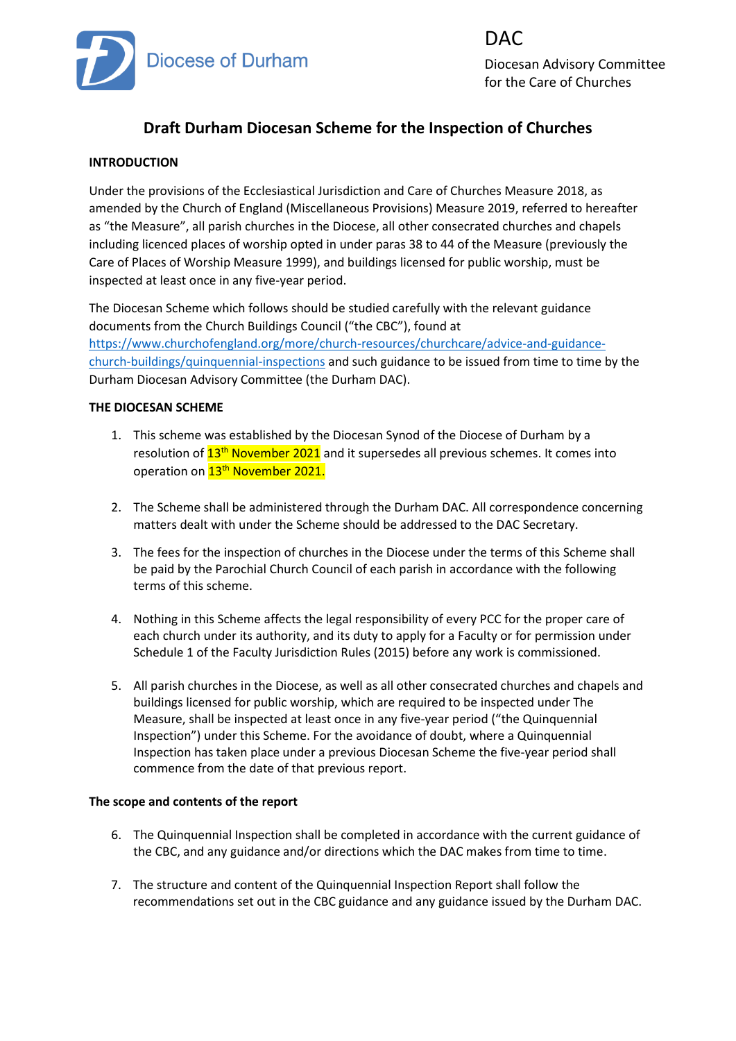

DAC Diocesan Advisory Committee for the Care of Churches

# **Draft Durham Diocesan Scheme for the Inspection of Churches**

# **INTRODUCTION**

Under the provisions of the Ecclesiastical Jurisdiction and Care of Churches Measure 2018, as amended by the Church of England (Miscellaneous Provisions) Measure 2019, referred to hereafter as "the Measure", all parish churches in the Diocese, all other consecrated churches and chapels including licenced places of worship opted in under paras 38 to 44 of the Measure (previously the Care of Places of Worship Measure 1999), and buildings licensed for public worship, must be inspected at least once in any five-year period.

The Diocesan Scheme which follows should be studied carefully with the relevant guidance documents from the Church Buildings Council ("the CBC"), found at [https://www.churchofengland.org/more/church-resources/churchcare/advice-and-guidance](https://www.churchofengland.org/more/church-resources/churchcare/advice-and-guidance-church-buildings/quinquennial-inspections)[church-buildings/quinquennial-inspections](https://www.churchofengland.org/more/church-resources/churchcare/advice-and-guidance-church-buildings/quinquennial-inspections) and such guidance to be issued from time to time by the Durham Diocesan Advisory Committee (the Durham DAC).

### **THE DIOCESAN SCHEME**

- 1. This scheme was established by the Diocesan Synod of the Diocese of Durham by a resolution of  $13<sup>th</sup>$  November 2021 and it supersedes all previous schemes. It comes into operation on 13<sup>th</sup> November 2021.
- 2. The Scheme shall be administered through the Durham DAC. All correspondence concerning matters dealt with under the Scheme should be addressed to the DAC Secretary.
- 3. The fees for the inspection of churches in the Diocese under the terms of this Scheme shall be paid by the Parochial Church Council of each parish in accordance with the following terms of this scheme.
- 4. Nothing in this Scheme affects the legal responsibility of every PCC for the proper care of each church under its authority, and its duty to apply for a Faculty or for permission under Schedule 1 of the Faculty Jurisdiction Rules (2015) before any work is commissioned.
- 5. All parish churches in the Diocese, as well as all other consecrated churches and chapels and buildings licensed for public worship, which are required to be inspected under The Measure, shall be inspected at least once in any five-year period ("the Quinquennial Inspection") under this Scheme. For the avoidance of doubt, where a Quinquennial Inspection has taken place under a previous Diocesan Scheme the five-year period shall commence from the date of that previous report.

### **The scope and contents of the report**

- 6. The Quinquennial Inspection shall be completed in accordance with the current guidance of the CBC, and any guidance and/or directions which the DAC makes from time to time.
- 7. The structure and content of the Quinquennial Inspection Report shall follow the recommendations set out in the CBC guidance and any guidance issued by the Durham DAC.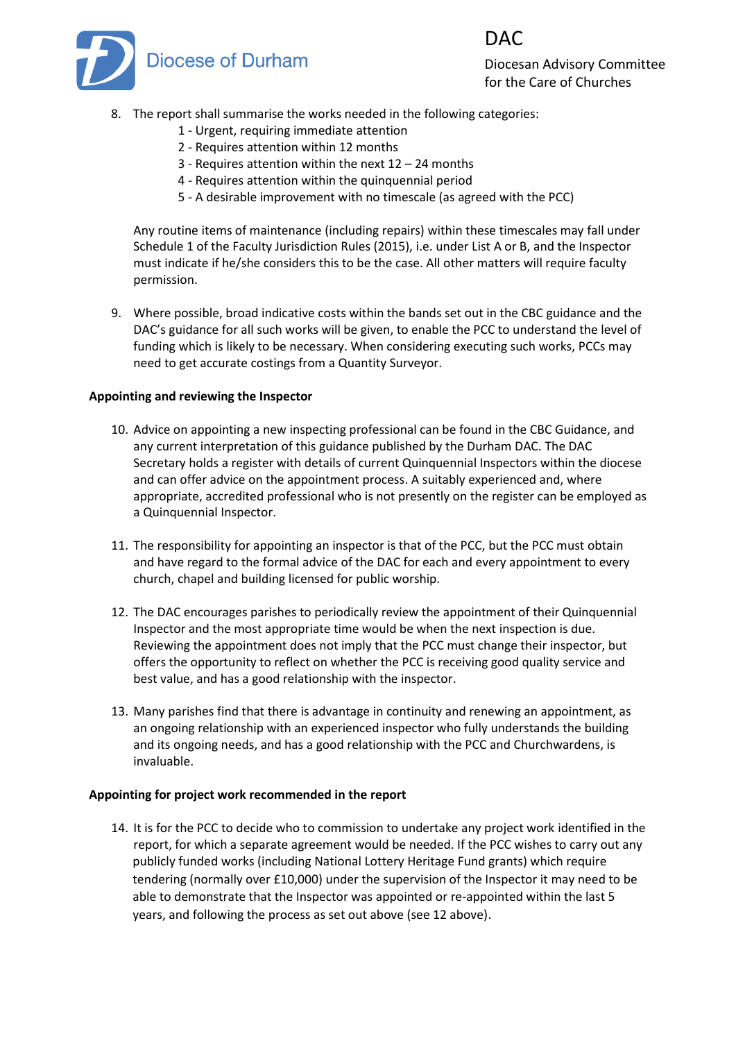

Diocesan Advisory Committee for the Care of Churches

DAC

- 8. The report shall summarise the works needed in the following categories:
	- 1 Urgent, requiring immediate attention
	- 2 Requires attention within 12 months
	- 3 Requires attention within the next 12 24 months
	- 4 Requires attention within the quinquennial period
	- 5 A desirable improvement with no timescale (as agreed with the PCC)

Any routine items of maintenance (including repairs) within these timescales may fall under Schedule 1 of the Faculty Jurisdiction Rules (2015), i.e. under List A or B, and the Inspector must indicate if he/she considers this to be the case. All other matters will require faculty permission.

9. Where possible, broad indicative costs within the bands set out in the CBC guidance and the DAC's guidance for all such works will be given, to enable the PCC to understand the level of funding which is likely to be necessary. When considering executing such works, PCCs may need to get accurate costings from a Quantity Surveyor.

### **Appointing and reviewing the Inspector**

- 10. Advice on appointing a new inspecting professional can be found in the CBC Guidance, and any current interpretation of this guidance published by the Durham DAC. The DAC Secretary holds a register with details of current Quinquennial Inspectors within the diocese and can offer advice on the appointment process. A suitably experienced and, where appropriate, accredited professional who is not presently on the register can be employed as a Quinquennial Inspector.
- 11. The responsibility for appointing an inspector is that of the PCC, but the PCC must obtain and have regard to the formal advice of the DAC for each and every appointment to every church, chapel and building licensed for public worship.
- 12. The DAC encourages parishes to periodically review the appointment of their Quinquennial Inspector and the most appropriate time would be when the next inspection is due. Reviewing the appointment does not imply that the PCC must change their inspector, but offers the opportunity to reflect on whether the PCC is receiving good quality service and best value, and has a good relationship with the inspector.
- 13. Many parishes find that there is advantage in continuity and renewing an appointment, as an ongoing relationship with an experienced inspector who fully understands the building and its ongoing needs, and has a good relationship with the PCC and Churchwardens, is invaluable.

### **Appointing for project work recommended in the report**

14. It is for the PCC to decide who to commission to undertake any project work identified in the report, for which a separate agreement would be needed. If the PCC wishes to carry out any publicly funded works (including National Lottery Heritage Fund grants) which require tendering (normally over £10,000) under the supervision of the Inspector it may need to be able to demonstrate that the Inspector was appointed or re-appointed within the last 5 years, and following the process as set out above (see 12 above).